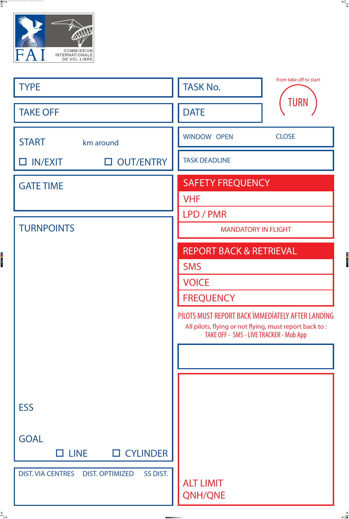

Sporting Code S7 I - Guidelines and Templates 2022 Annexe A - CIVL Task Board Template.pdf 1 28/04/2022 23:07

### SMS

VOICE

## FREQUENCY

All pilots, flying or not flying, must report back to : TAKE OFF - SMS - LIVE TRACKER - Mob App

## PİLOTS MUST REPORT BACK İMMEDİATELY AFTER LANDİNG

 $\bigoplus$ 

 $\begin{array}{c|c} \bullet & \bullet \\ \bullet & \bullet \end{array}$ 







ALT LIMIT QNH/QNE

-------